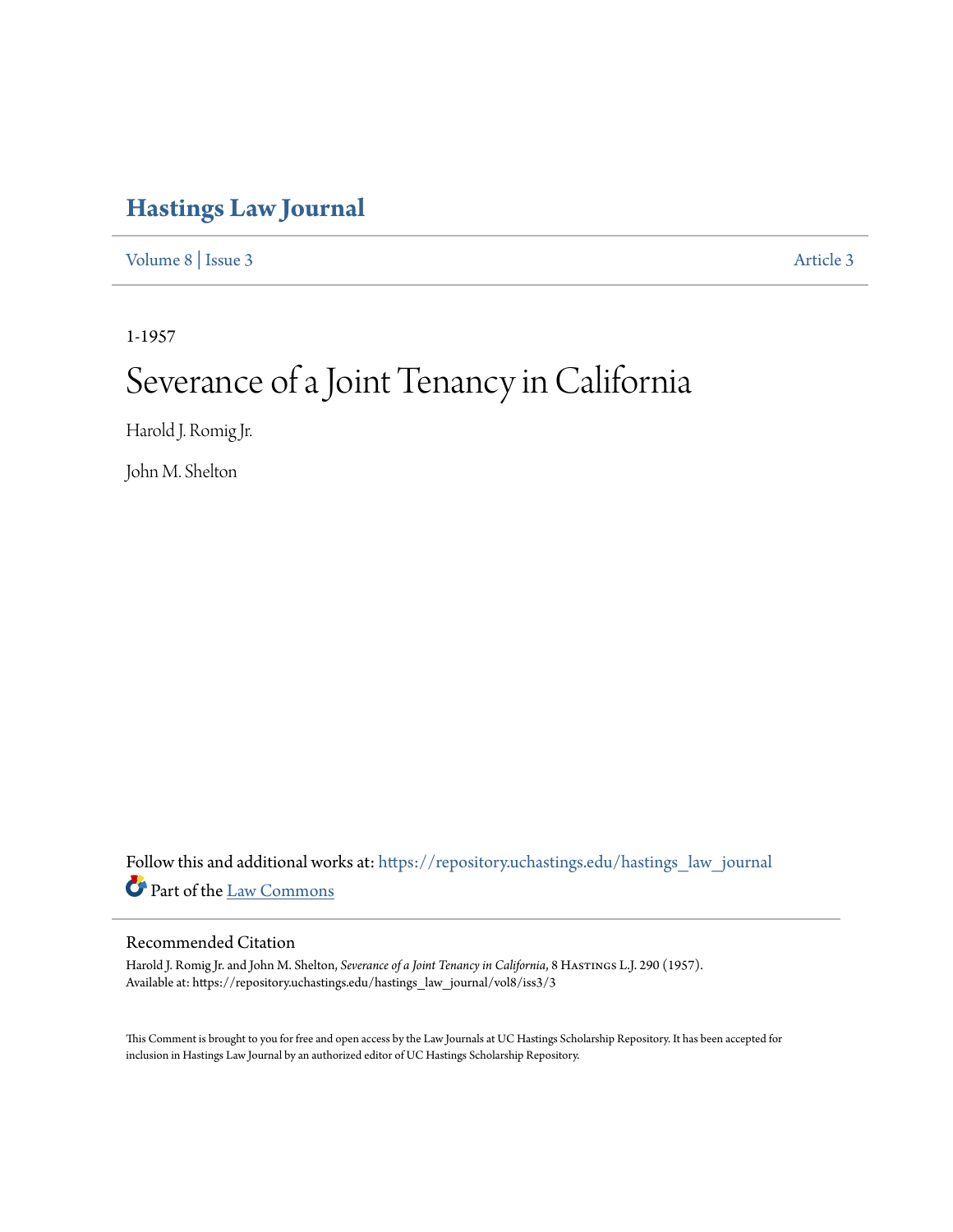## **[Hastings Law Journal](https://repository.uchastings.edu/hastings_law_journal?utm_source=repository.uchastings.edu%2Fhastings_law_journal%2Fvol8%2Fiss3%2F3&utm_medium=PDF&utm_campaign=PDFCoverPages)**

[Volume 8](https://repository.uchastings.edu/hastings_law_journal/vol8?utm_source=repository.uchastings.edu%2Fhastings_law_journal%2Fvol8%2Fiss3%2F3&utm_medium=PDF&utm_campaign=PDFCoverPages) | [Issue 3](https://repository.uchastings.edu/hastings_law_journal/vol8/iss3?utm_source=repository.uchastings.edu%2Fhastings_law_journal%2Fvol8%2Fiss3%2F3&utm_medium=PDF&utm_campaign=PDFCoverPages) [Article 3](https://repository.uchastings.edu/hastings_law_journal/vol8/iss3/3?utm_source=repository.uchastings.edu%2Fhastings_law_journal%2Fvol8%2Fiss3%2F3&utm_medium=PDF&utm_campaign=PDFCoverPages)

1-1957

# Severance of a Joint Tenancy in California

Harold J. Romig Jr.

John M. Shelton

Follow this and additional works at: [https://repository.uchastings.edu/hastings\\_law\\_journal](https://repository.uchastings.edu/hastings_law_journal?utm_source=repository.uchastings.edu%2Fhastings_law_journal%2Fvol8%2Fiss3%2F3&utm_medium=PDF&utm_campaign=PDFCoverPages) Part of the [Law Commons](http://network.bepress.com/hgg/discipline/578?utm_source=repository.uchastings.edu%2Fhastings_law_journal%2Fvol8%2Fiss3%2F3&utm_medium=PDF&utm_campaign=PDFCoverPages)

#### Recommended Citation

Harold J. Romig Jr. and John M. Shelton, *Severance of a Joint Tenancy in California*, 8 Hastings L.J. 290 (1957). Available at: https://repository.uchastings.edu/hastings\_law\_journal/vol8/iss3/3

This Comment is brought to you for free and open access by the Law Journals at UC Hastings Scholarship Repository. It has been accepted for inclusion in Hastings Law Journal by an authorized editor of UC Hastings Scholarship Repository.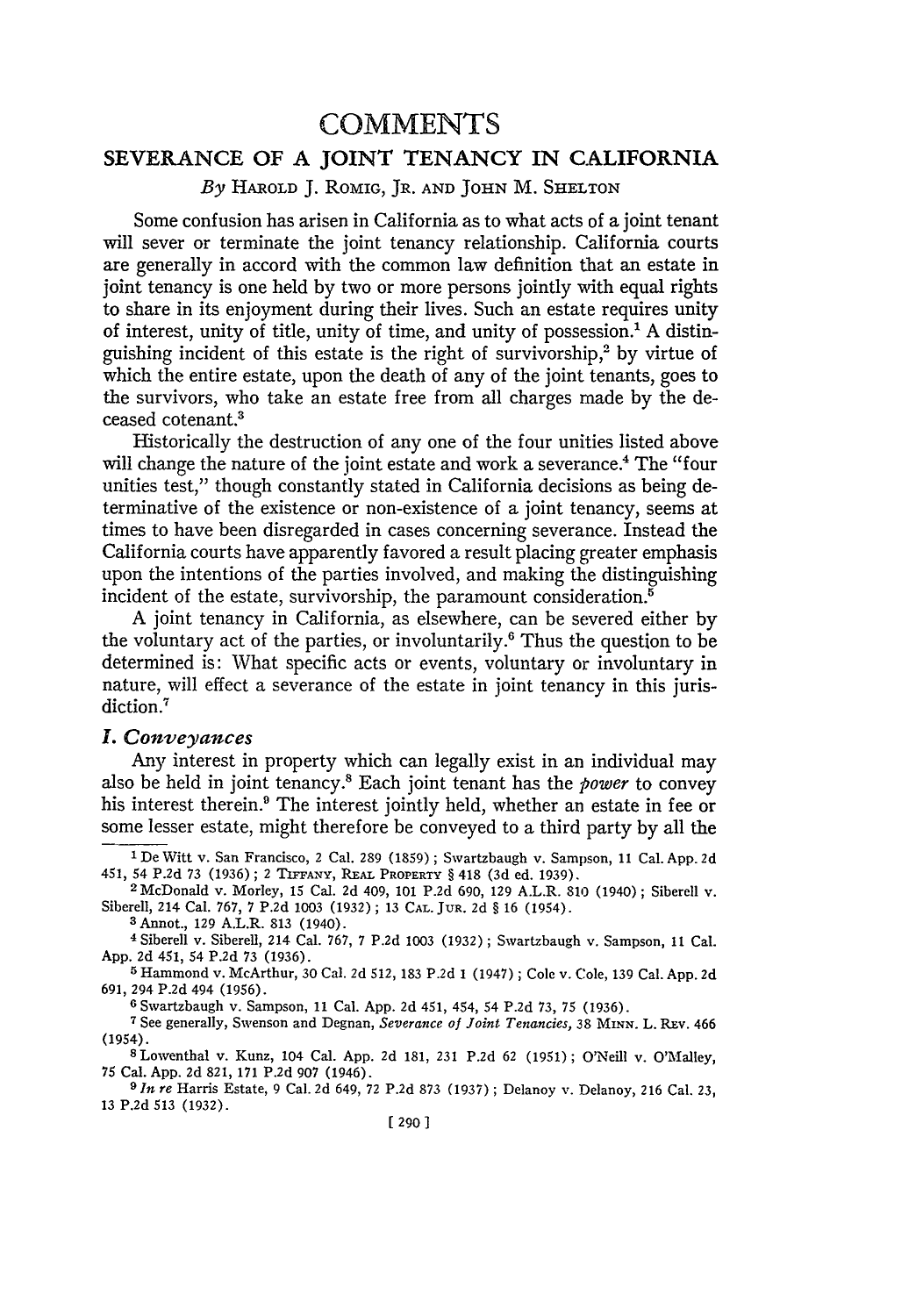### **COMMENTS**

#### **SEVERANCE OF A JOINT TENANCY IN** CALIFORNIA

*By* HAROLD **J.** ROMIG, JR. AND JOHN M. SHELTON

Some confusion has arisen in California as to what acts of a joint tenant will sever or terminate the joint tenancy relationship. California courts are generally in accord with the common law definition that an estate in joint tenancy is one held by two or more persons jointly with equal rights to share in its enjoyment during their lives. Such an estate requires unity of interest, unity of title, unity of time, and unity of possession.' A distinguishing incident of this estate is the right of survivorship, $2$  by virtue of which the entire estate, upon the death of any of the joint tenants, goes to the survivors, who take an estate free from all charges made by the deceased cotenant.3

Historically the destruction of any one of the four unities listed above will change the nature of the joint estate and work a severance.<sup>4</sup> The "four unities test," though constantly stated in California decisions as being determinative of the existence or non-existence of a joint tenancy, seems at times to have been disregarded in cases concerning severance. Instead the California courts have apparently favored a result placing greater emphasis upon the intentions of the parties involved, and making the distinguishing incident of the estate, survivorship, the paramount consideration.<sup>5</sup>

A joint tenancy in California, as elsewhere, can be severed either by the voluntary act of the parties, or involuntarily.6 Thus the question to be determined is: What specific acts or events, voluntary or involuntary in nature, will effect a severance of the estate in joint tenancy in this jurisdiction.<sup>7</sup>

#### *I. Conveyances*

Any interest in property which can legally exist in an individual may also be held in joint tenancy.' Each joint tenant has the *power* to convey his interest therein.<sup>9</sup> The interest jointly held, whether an estate in fee or some lesser estate, might therefore be conveyed to a third party by all the

**3** Annot., 129 A.L.R. 813 (1940).

**6** Swartzbaugh v. Sampson, 11 Cal. App. 2d 451, 454, 54 P.2d 73, 75 (1936).

**7** See generally, Swenson and Degnan, *Severance of Joint Tenancies,* 38 **MINN.** L. REV. 466 (1954).

SLowenthal v. Kunz, 104 Cal. App. 2d 181, 231 P.2d 62 (1951); O'Neill v. O'Malley, 75 Cal. App. 2d 821, 171 P.2d 907 (1946).

*9 In re* Harris Estate, 9 Cal. 2d 649, 72 P.2d 873 (1937) ; Delanoy v. Delanoy, 216 Cal. 23, **13 P.2d 513 (1932).**

**<sup>1</sup>** De Witt v. San Francisco, 2 Cal. 289 (1859); Swartzbaugh v. Sampson, 11 Cal. **App. 2d** 451, 54 P.2d 73 (1936); 2 **TiFFANY,** REAL PROPERTY § 418 (3d ed. 1939). 2 McDonald v. Morley, 15 Cal. 2d 409, 101 P.2d 690, 129 A.L.R. 810 (1940) ; Siberell v.

Siberell, 214 Cal. 767, 7 P.2d 1003 (1932) ; 13 **CAL.** JUR. 2d § 16 (1954).

**<sup>4</sup>**Siberell v. Siberell, 214 Cal. 767, 7 P.2d 1003 (1932) ; Swartzbaugh v. Sampson, **11** Cal. App. 2d 451, 54 P.2d 73 (1936).

**<sup>5</sup>** Hammond v. McArthur, 30 Cal. 2d 512, 183 P.2d 1 (1947); Cole v. Cole, 139 Cal. App. 2d 691, 294 P.2d 494 (1956).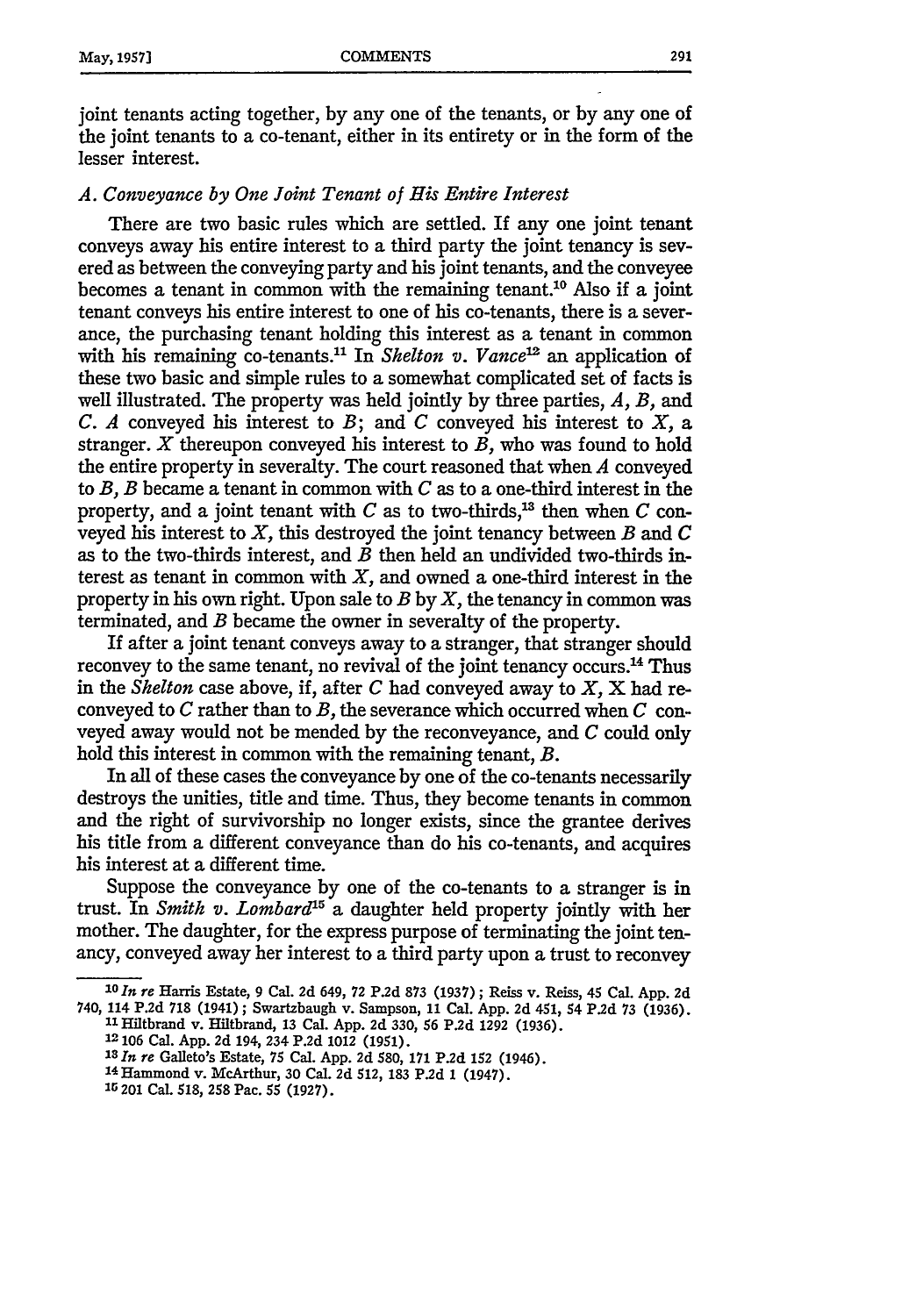joint tenants acting together, by any one of the tenants, or by any one of the joint tenants to a co-tenant, either in its entirety or in the form of the lesser interest.

#### *A. Conveyance by One Joint Tenant of His Entire Interest*

There are two basic rules which are settled. If any one joint tenant conveys away his entire interest to a third party the joint tenancy is severed as between the conveying party and his joint tenants, and the conveyee becomes a tenant in common with the remaining tenant.<sup>10</sup> Also if a joint tenant conveys his entire interest to one of his co-tenants, there is a severance, the purchasing tenant holding this interest as a tenant in common with his remaining co-tenants.<sup>11</sup> In *Shelton v. Vance*<sup>12</sup> an application of these two basic and simple rules to a somewhat complicated set of facts is well illustrated. The property was held jointly by three parties, *A, B,* and *C. A* conveyed his interest to *B;* and *C* conveyed his interest to *X,* a stranger. X thereupon conveyed his interest to *B,* who was found to hold the entire property in severalty. The court reasoned that when *A* conveyed to *B, B* became a tenant in common with *C* as to a one-third interest in the property, and a joint tenant with  $C$  as to two-thirds,<sup>13</sup> then when  $C$  conveyed his interest to *X,* this destroyed the joint tenancy between *B* and *C* as to the two-thirds interest, and *B* then held an undivided two-thirds interest as tenant in common with  $X$ , and owned a one-third interest in the property in his own right. Upon sale to *B* by *X,* the tenancy in common was terminated, and *B* became the owner in severalty of the property.

If after a joint tenant conveys away to a stranger, that stranger should reconvey to the same tenant, no revival of the joint tenancy occurs.<sup>14</sup> Thus in the *Shelton* case above, if, after *C* had conveyed away to *X,* X had reconveyed to *C* rather than to *B,* the severance which occurred when *C* conveyed away would not be mended by the reconveyance, and *C* could only hold this interest in common with the remaining tenant, *B.*

In all of these cases the conveyance by one of the co-tenants necessarily destroys the unities, title and time. Thus, they become tenants in common and the right of survivorship no longer exists, since the grantee derives his title from a different conveyance than do his co-tenants, and acquires his interest at a different time.

Suppose the conveyance by one of the co-tenants to a stranger is in trust. In *Smith v. Lombard*<sup>15</sup> a daughter held property jointly with her mother. The daughter, for the express purpose of terminating the joint tenancy, conveyed away her interest to a third party upon a trust to reconvey

*loIn re* Harris Estate, 9 Cal. 2d 649, 72 P.2d 873 (1937) ; Reiss v. Reiss, 45 Cal. App. 2d 740, 114 P.2d 718 (1941) ; Swartzbaugh v. Sampson, 11 Cal. App. 2d 451, 54 P.2d 73 (1936).

**<sup>11</sup>**Hiltbrand v. Hiltbrand, 13 Cal. App. 2d 330, 56 P.2d 1292 (1936).

**<sup>12 106</sup>** Cal. App. 2d 194, 234 P.2d 1012 (1951).

*<sup>18</sup> In re* Galleto's Estate, 75 Cal. App. 2d 580, **171** P.2d 152 (1946).

**<sup>14</sup>** Hammond v. McArthur, 30 Cal. 2d 512, **183** P.2d 1 (1947).

<sup>15 201</sup> CaL 518, **258** Pac. 55 (1927).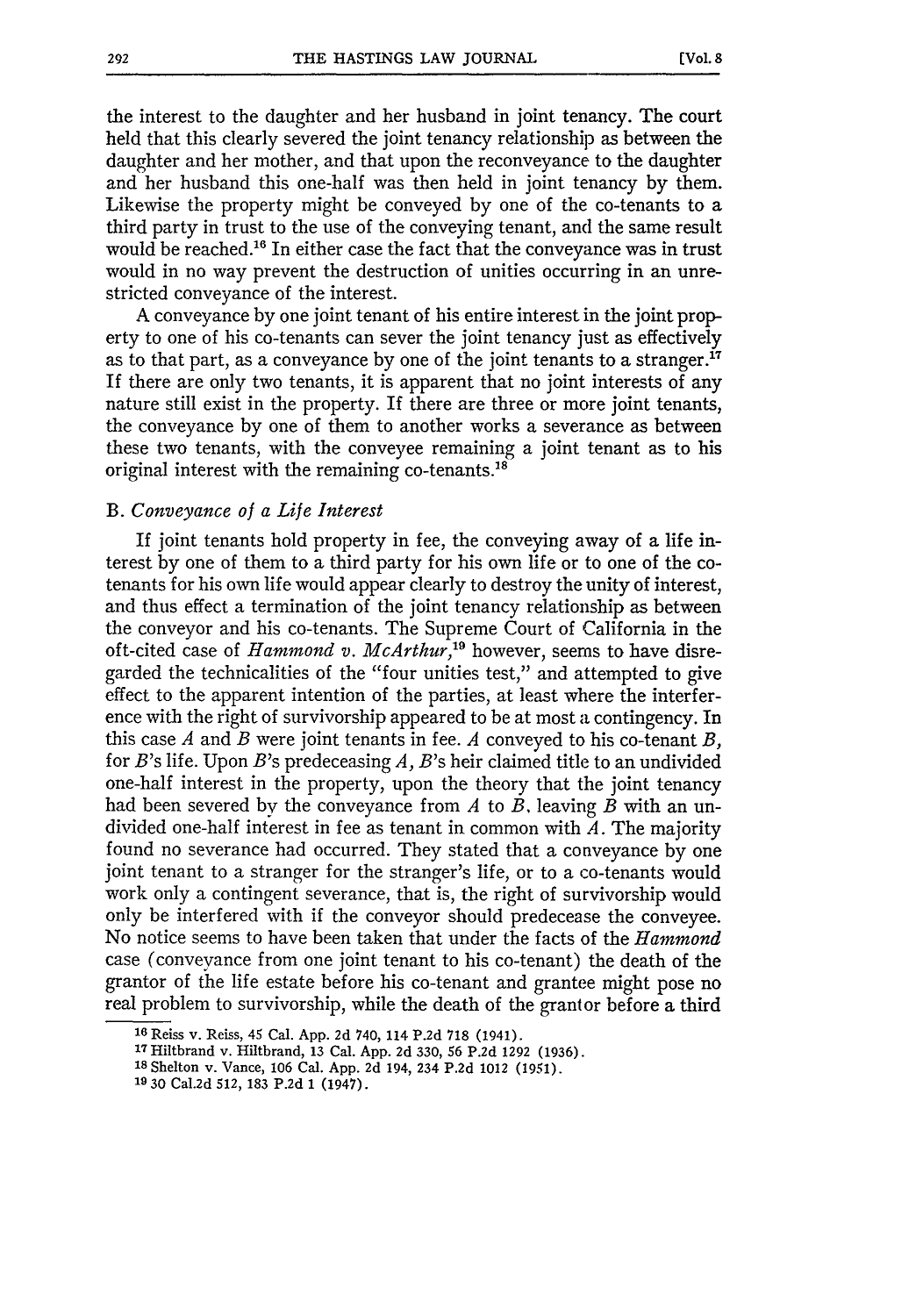the interest to the daughter and her husband in joint tenancy. The court held that this clearly severed the joint tenancy relationship as between the daughter and her mother, and that upon the reconveyance to the daughter and her husband this one-half was then held in joint tenancy by them. Likewise the property might be conveyed by one of the co-tenants to a third party in trust to the use of the conveying tenant, and the same result would be reached.<sup>16</sup> In either case the fact that the conveyance was in trust would in no way prevent the destruction of unities occurring in an unrestricted conveyance of the interest.

A conveyance by one joint tenant of his entire interest in the joint property to one of his co-tenants can sever the joint tenancy just as effectively as to that part, as a conveyance by one of the joint tenants to a stranger.<sup>17</sup> If there are only two tenants, it is apparent that no joint interests of any nature still exist in the property. If there are three or more joint tenants, the conveyance by one of them to another works a severance as between these two tenants, with the conveyee remaining a joint tenant as to his original interest with the remaining co-tenants.<sup>18</sup>

#### *B. Conveyance of a Life Interest*

If joint tenants hold property in fee, the conveying away of a life interest **by** one of them to a third party for his own life or to one of the cotenants for his own life would appear clearly to destroy the unity of interest, and thus effect a termination of the joint tenancy relationship as between the conveyor and his co-tenants. The Supreme Court of California in the oft-cited case of *Hammond v. McArthur*,<sup>19</sup> however, seems to have disregarded the technicalities of the "four unities test," and attempted to give effect to the apparent intention of the parties, at least where the interference with the right of survivorship appeared to be at most a contingency. In this case *A* and *B* were joint tenants in fee. *A* conveyed to his co-tenant *B,* for *B's* life. Upon B's predeceasing *A, B's* heir claimed title to an undivided one-half interest in the property, upon the theory that the joint tenancy had been severed by the conveyance from *A* to *B.* leaving *B* with an undivided one-half interest in fee as tenant in common with *A.* The majority found no severance had occurred. They stated that a conveyance **by** one joint tenant to a stranger for the stranger's life, or to a co-tenants would work only a contingent severance, that is, the right of survivorship would only be interfered with if the conveyor should predecease the conveyee. No notice seems to have been taken that under the facts of the *Hammond* case (conveyance from one joint tenant to his co-tenant) the death of the grantor of the life estate before his co-tenant and grantee might pose no real problem to survivorship, while the death of the grantor before a third

**<sup>16</sup>** Reiss **v.** Reiss, 45 Cal. **App. 2d** 740, 114 **P.2d 718** (1941).

**<sup>17</sup>**Hiltbrand v. Hiltbrand, **13** Cal. **App. 2d 330, 56 P.2d 1292 (1936).**

**<sup>18</sup>** Shelton v. Vance, **106** Cal. **App. 2d** 194, 234 **P.2d** 1012 **(1951).**

**<sup>19 30</sup>** Cal.2d **512, 183 P.2d 1** (1947).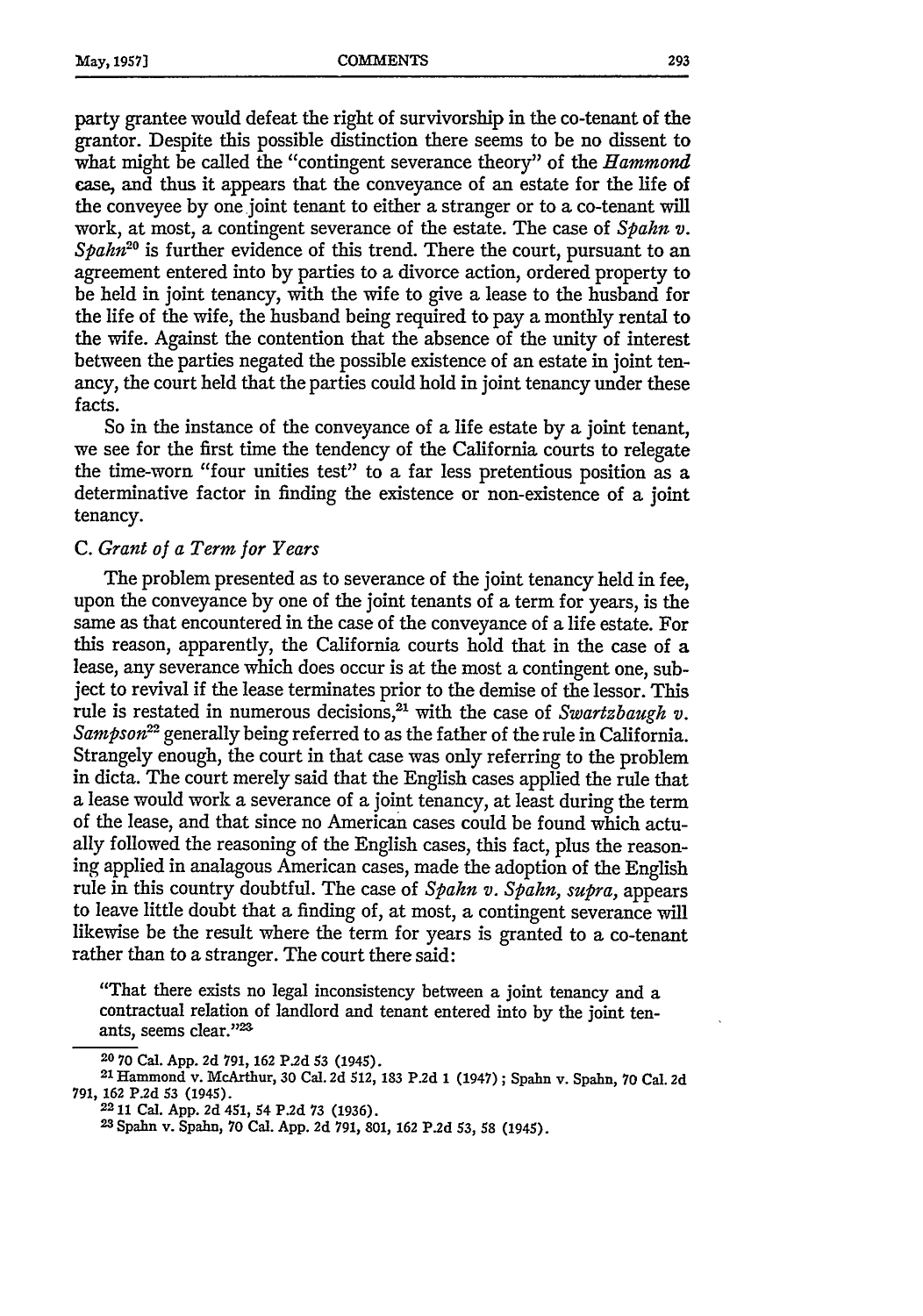party grantee would defeat the right of survivorship in the co-tenant of the grantor. Despite this possible distinction there seems to be no dissent to what might be called the "contingent severance theory" of the *Hammond* case, and thus it appears that the conveyance of an estate for the life of the conveyee by one joint tenant to either a stranger or to a co-tenant will work, at most, a contingent severance of the estate. The case of *Spahn v. Spahn*<sup>20</sup> is further evidence of this trend. There the court, pursuant to an agreement entered into by parties to a divorce action, ordered property to be held in joint tenancy, with the wife to give a lease to the husband for the life of the wife, the husband being required to pay a monthly rental to the wife. Against the contention that the absence of the unity of interest between the parties negated the possible existence of an estate in joint tenancy, the court held that the parties could hold in joint tenancy under these facts.

So in the instance of the conveyance of a life estate by a joint tenant, we see for the first time the tendency of the California courts to relegate the time-worn "four unities test" to a far less pretentious position as a determinative factor in finding the existence or non-existence of a joint tenancy.

#### *C. Grant of a Term for Years*

The problem presented as to severance of the joint tenancy held in fee, upon the conveyance by one of the joint tenants of a term for years, is the same as that encountered in the case of the conveyance of a life estate. For this reason, apparently, the California courts hold that in the case of a lease, any severance which does occur is at the most a contingent one, subject to revival if the lease terminates prior to the demise of the lessor. This rule is restated in numerous decisions,<sup>21</sup> with the case of *Swartzbaugh v*. *Sampson*<sup>22</sup> generally being referred to as the father of the rule in California. Strangely enough, the court in that case was only referring to the problem in dicta. The court merely said that the English cases applied the rule that a lease would work a severance of a joint tenancy, at least during the term of the lease, and that since no American cases could be found which actually followed the reasoning of the English cases, this fact, plus the reasoning applied in analagous American cases, made the adoption of the English rule in this country doubtful. The case of *Spahn v. Spahn, supra,* appears to leave little doubt that a finding of, at most, a contingent severance will likewise be the result where the term for years is granted to a co-tenant rather than to a stranger. The court there said:

"That there exists no legal inconsistency between a joint tenancy and a contractual relation of landlord and tenant entered into by the joint tenants, seems clear."23

**<sup>20 70</sup> Cal. App. 2d 791, 162 P.2d 53** (1945). **<sup>2</sup> <sup>1</sup> Hammond v. McArthur, 30 Cal. 2d 512, 183 P.2d 1 (1947) ; Spahn v. Spahn, 70 Cal. 2d 791, 162 P.2d 53 (1945). <sup>2211</sup>**Cal. **App. 2d 451, 54 P.2d 73 (1936). <sup>2</sup> <sup>3</sup> Spahn v. Spahn, 70 Cal. App. 2d 791, 801, 162 P.2d 53, 58 (1945).**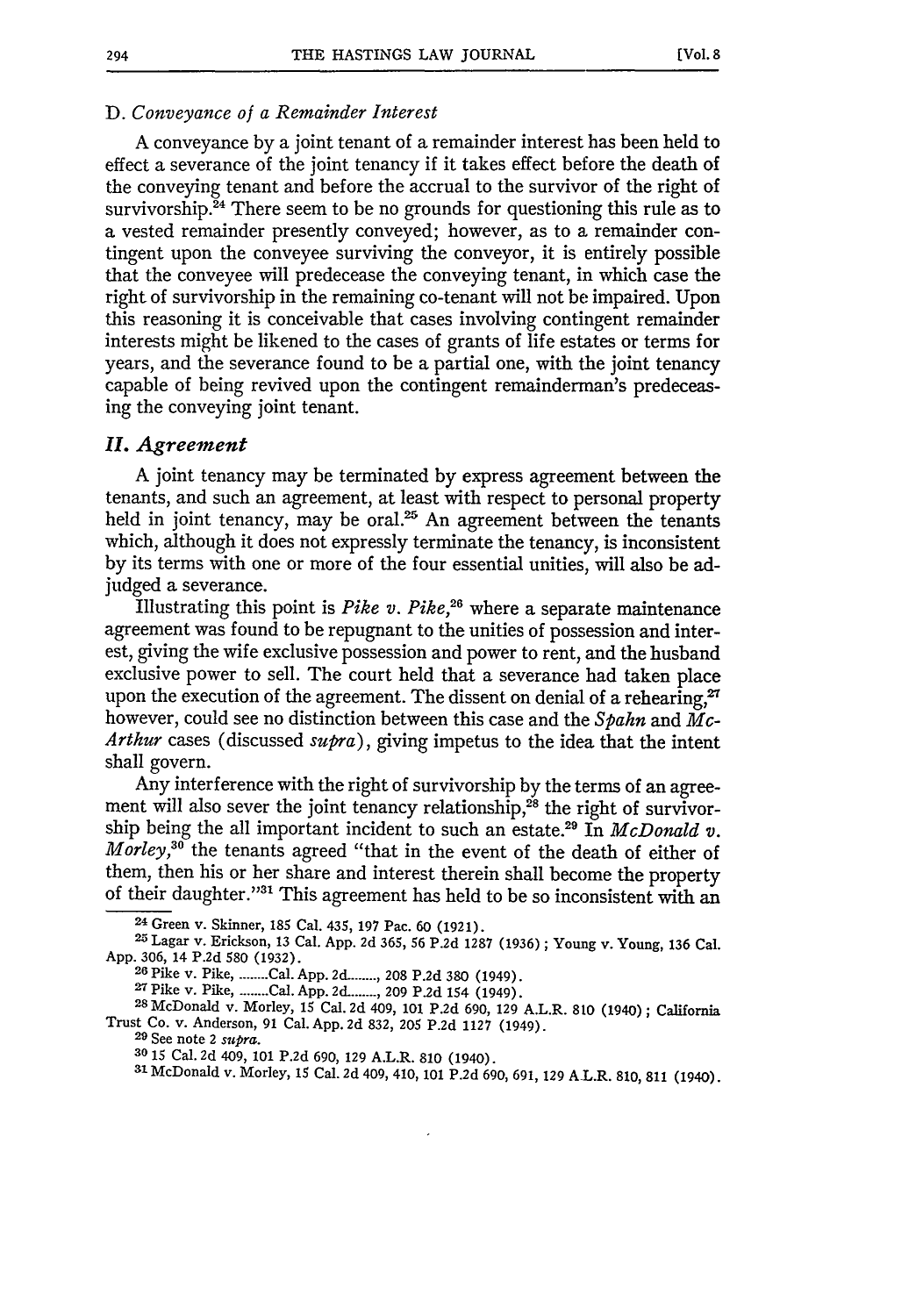#### *D. Conveyance of a Remainder Interest*

A conveyance by a joint tenant of a remainder interest has been held to effect a severance of the joint tenancy if it takes effect before the death of the conveying tenant and before the accrual to the survivor of the right of survivorship. $24$  There seem to be no grounds for questioning this rule as to a vested remainder presently conveyed; however, as to a remainder contingent upon the conveyee surviving the conveyor, it is entirely possible that the conveyee will predecease the conveying tenant, in which case the right of survivorship in the remaining co-tenant will not be impaired. Upon this reasoning it is conceivable that cases involving contingent remainder interests might be likened to the cases of grants of life estates or terms for years, and the severance found to be a partial one, with the joint tenancy capable of being revived upon the contingent remainderman's predeceasing the conveying joint tenant.

#### *I1.* Agreement

A joint tenancy may be terminated by express agreement between the tenants, and such an agreement, at least with respect to personal property held in joint tenancy, may be oral. $25$  An agreement between the tenants which, although it does not expressly terminate the tenancy, is inconsistent by its terms with one or more of the four essential unities, will also be adjudged a severance.

Illustrating this point is *Pike v. Pike*,<sup>26</sup> where a separate maintenance agreement was found to be repugnant to the unities of possession and interest, giving the wife exclusive possession and power to rent, and the husband exclusive power to sell. The court held that a severance had taken place upon the execution of the agreement. The dissent on denial of a rehearing, $27$ however, could see no distinction between this case and the *Spahn and Mc-Arthur* cases (discussed *supra),* giving impetus to the idea that the intent shall govern.

Any interference with the right of survivorship by the terms of an agreement will also sever the joint tenancy relationship, $^{28}$  the right of survivorship being the all important incident to such an estate.29 In *McDonald v. Morley,30* the tenants agreed "that in the event of the death of either of them, then his or her share and interest therein shall become the property of their daughter."<sup>31</sup> This agreement has held to be so inconsistent with an

**6** Pike v. Pike **.** Cal. **App.** 2d. **....... 208 P.2d 380** (1949).

**<sup>27</sup>**Pike v. Pike, **........** Cal. **App.** 2d. **....... 209 P.2d** 154 (1949). **<sup>2</sup>**

**<sup>24</sup>** Green v. Skinner, **185** Cal. 435, **197** Pac. **60 (1921).**

<sup>25</sup>Lagar v. Erickson, **13** Cal. **App. 2d 365, 56 P.2d 1287 (1936) ;** Young v. Young, **136** Cal. **App. 306,** 14 **P.2d 580 (1932). <sup>2</sup>**

**<sup>8</sup>**McDonald v. Morley, **15** Cal. **2d** 409, **101 P.2d 690, 129 A.L.R. 810** (1940); California Trust Co. v. Anderson, **91** Cal. **App. 2d 832, 205 P.2d 1127** (1949).

**<sup>29</sup>**See note 2 *supra.*

**<sup>30</sup>15** Cal. **2d** 409, **101 P.2d 690, 129** A.L.R. **810** (1940). <sup>3</sup> <sup>1</sup> McDonald v. Morley, **15** Cal. **2d** 409, 410, **101 P.2d 690, 691, 129** AL.R. **810, 811** (1940).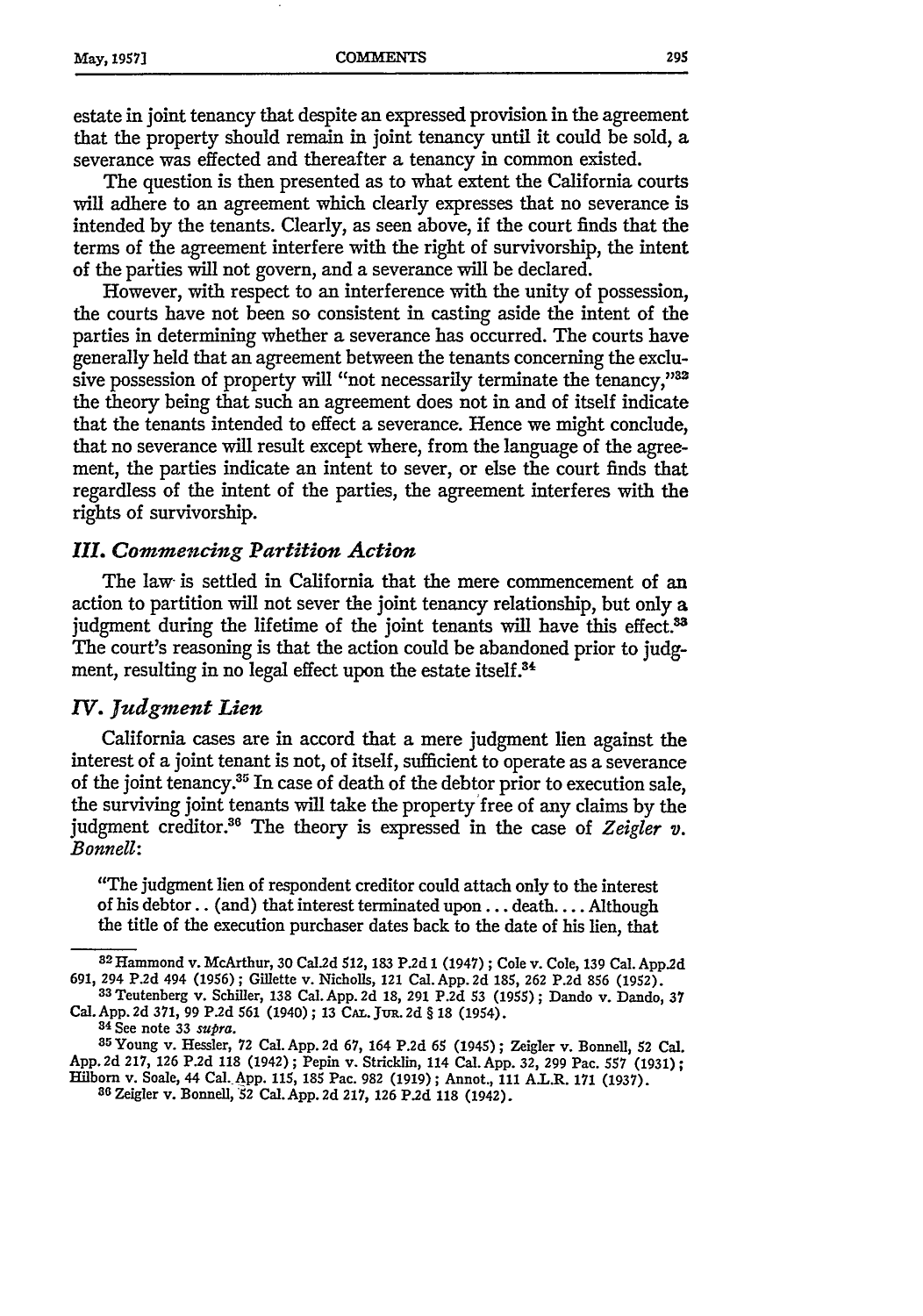estate in joint tenancy that despite an expressed provision in the agreement that the property should remain in joint tenancy until it could be sold, a severance was effected and thereafter a tenancy in common existed.

The question is then presented as to what extent the California courts will adhere to an agreement which clearly expresses that no severance is intended by the tenants. Clearly, as seen above, if the court finds that the terms of the agreement interfere with the right of survivorship, the intent of the parties will not govern, and a severance will be declared.

However, with respect to an interference with the unity of possession, the courts have not been so consistent in casting aside the intent of the parties in determining whether a severance has occurred. The courts have generally held that an agreement between the tenants concerning the exclusive possession of property will "not necessarily terminate the tenancy,"32 the theory being that such an agreement does not in and of itself indicate that the tenants intended to effect a severance. Hence we might conclude, that no severance will result except where, from the language of the agreement, the parties indicate an intent to sever, or else the court finds that regardless of the intent of the parties, the agreement interferes with the rights of survivorship.

#### *III. Commencing Partition Action*

The law- is settled in California that the mere commencement of an action to partition will not sever the joint tenancy relationship, but only a judgment during the lifetime of the joint tenants will have this effect.<sup>33</sup> The court's reasoning is that the action could be abandoned prior to judgment, resulting in no legal effect upon the estate itself.<sup>3</sup>

#### *IV. Judgment Lien*

California cases are in accord that a mere judgment lien against the interest of a joint tenant is not, of itself, sufficient to operate as a severance of the joint tenancy.<sup>35</sup> In case of death of the debtor prior to execution sale, the surviving joint tenants will take the property free of any claims by the judgment creditor.<sup>36</sup> The theory is expressed in the case of Zeigler v. *Bonnell:*

"The judgment lien of respondent creditor could attach only to the interest of his debtor.. (and) that interest terminated upon... death.... Although the title of the execution purchaser dates back to the date of his lien, that

**36** Zeigler v. Bonnell, **52** Cal.App.2d 217, **126 P.2d** 118 (1942).

**<sup>32</sup> Hammond** v. McArthur, 30 Cal.2d 512, **183** P.2d 1 (1947) **;** Cole v. Cole, **139** Cal. App.2d 691, 294 P.2d 494 (1956); Gillette v. Nicholls, 121 Cal. App. 2d 185, 262 P.2d 856 (1952).<br><sup>33</sup> Teutenberg v. Schiller, 138 Cal. App. 2d 18, 291 P.2d 53 (1955); Dando v. Dando, 37

Cal. App. 2d 371, 99 P.2d 561 (1940); 13 CAL. JUR. 2d § 18 (1954).

<sup>34</sup>See note **33** *supra.*

**<sup>35</sup>Young** v. Hessler, 72 Cal. App. **2d 67,** 164 **P.2d** 65 (1945) **;** Zeigler v. Bonnell, 52 Cal. App. **2d 217, 126 P.2d** 118 (1942) **;** Pepin v. Stricklin, 114 Cal. App. **32, 299** Pac. **557** (1931); Hilborn v. Soale, 44 Cal.-App. 115, 185 Pac. 982 (1919); Annot., 111 A.L.R. **171** (1937).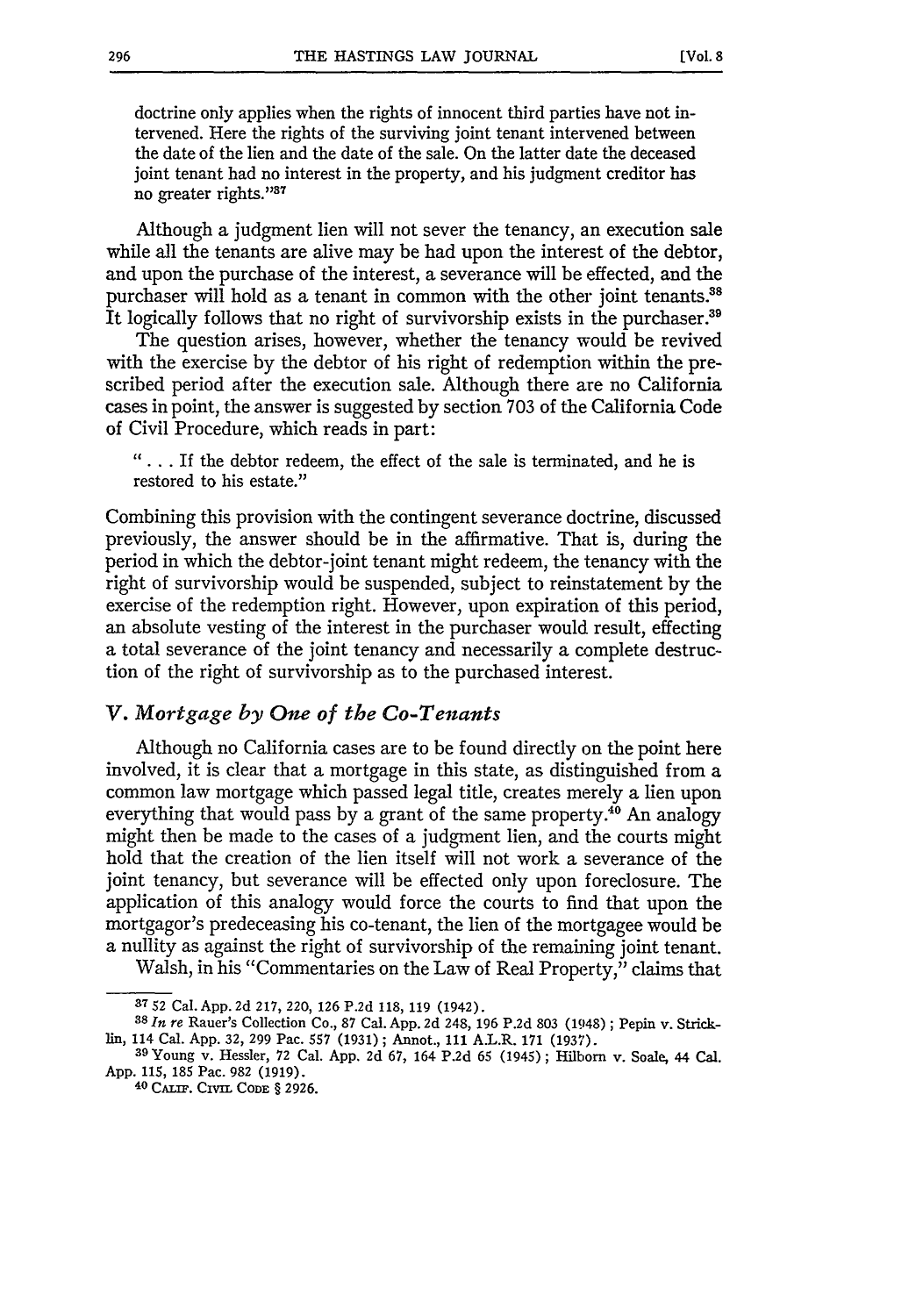**[Vol. 8**

doctrine only applies when the rights of innocent third parties have not intervened. Here the rights of the surviving joint tenant intervened between the date of the lien and the date of the sale. On the latter date the deceased joint tenant had no interest in the property, and his judgment creditor has no greater rights."<sup>37</sup>

Although a judgment lien will not sever the tenancy, an execution sale while all the tenants are alive may be had upon the interest of the debtor, and upon the purchase of the interest, a severance will be effected, and the purchaser will hold as a tenant in common with the other joint tenants.<sup>38</sup> It logically follows that no right of survivorship exists in the purchaser.<sup>39</sup>

The question arises, however, whether the tenancy would be revived with the exercise by the debtor of his right of redemption within the prescribed period after the execution sale. Although there are no California cases in point, the answer is suggested by section 703 of the California Code of Civil Procedure, which reads in part:

*"* **.** *..* If the debtor redeem, the effect of the sale is terminated, and he is restored to his estate."

Combining this provision with the contingent severance doctrine, discussed previously, the answer should be in the affirmative. That is, during the period in which the debtor-joint tenant might redeem, the tenancy with the right of survivorship would be suspended, subject to reinstatement by the exercise of the redemption right. However, upon expiration of this period, an absolute vesting of the interest in the purchaser would result, effecting a total severance of the joint tenancy and necessarily a complete destruction of the right of survivorship as to the purchased interest.

#### *V. Mortgage by One of the Co-Tenants*

Although no California cases are to be found directly on the point here involved, it is clear that a mortgage in this state, as distinguished from a common law mortgage which passed legal title, creates merely a lien upon everything that would pass by a grant of the same property.<sup>40</sup> An analogy might then be made to the cases of a judgment lien, and the courts might hold that the creation of the lien itself will not work a severance of the joint tenancy, but severance will be effected only upon foreclosure. The application of this analogy would force the courts to find that upon the mortgagor's predeceasing his co-tenant, the lien of the mortgagee would be a nullity as against the right of survivorship of the remaining joint tenant.

Walsh, in his "Commentaries on the Law of Real Property," claims that

**<sup>37</sup>** 52 Cal. **App. 2d 217,** 220, **126 P.2d 118, 119** (1942).

**<sup>38</sup>** *In re* Rauer's Collection Co., **87** Cal. **App. 2d** 248, **196 P.2d 803** (1948) **;** Pepin v. Strickin, 114 Cal. **App. 32, 299** Pac. **557 (1931);** Annot., **111** A.L.R. **171 (1937).**

**<sup>39</sup>**Young v. Hessler, **72** Cal. **App. 2d 67,** 164 **P.2d 65** (1945) **;** Hilborn v. Soale, 44 Cal. **App. 115, 185** Pac. **982 (1919).**

**<sup>40</sup> CALIF. Cxvim** CODE § **2926.**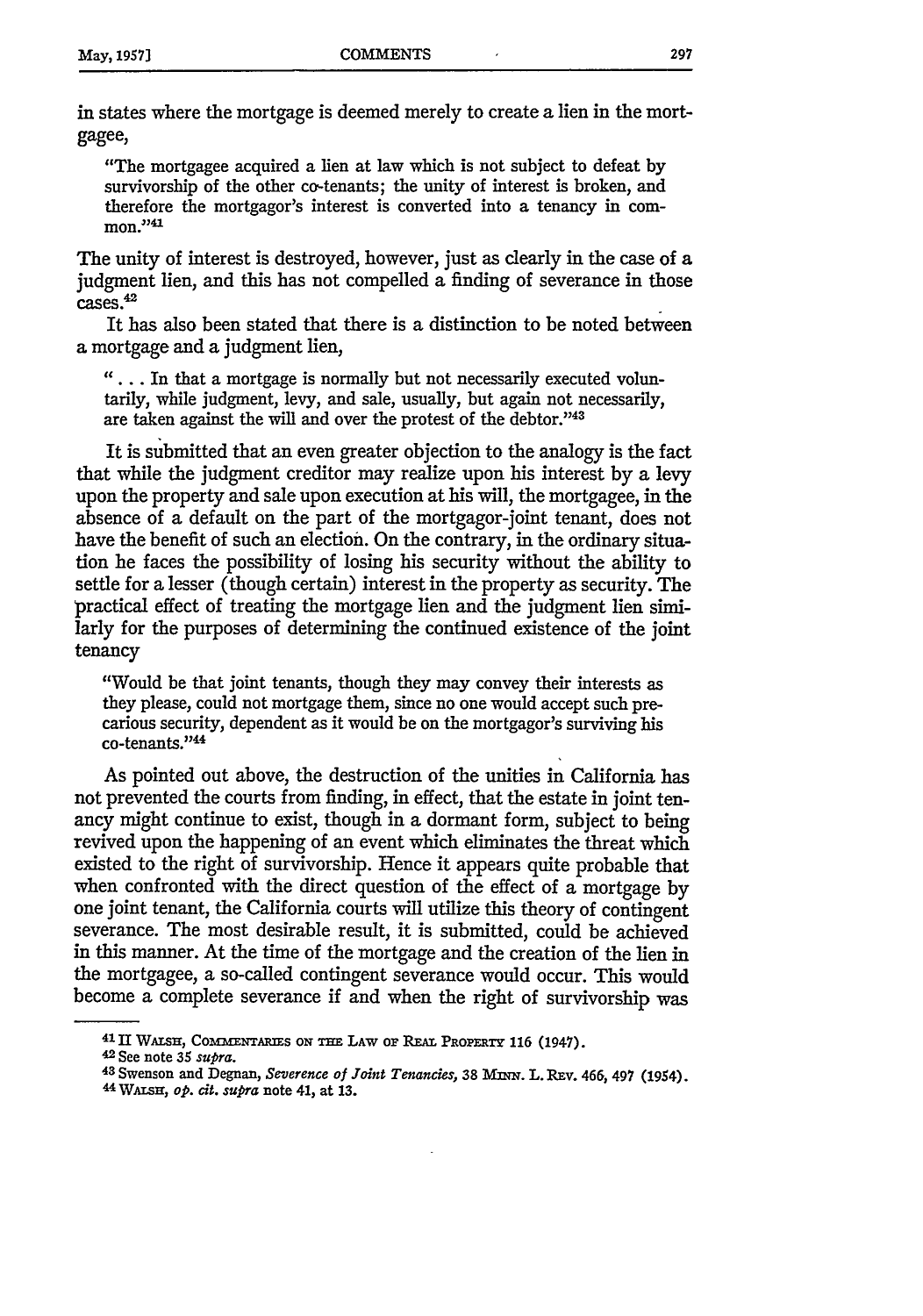in states where the mortgage is deemed merely to create a lien in the mortgagee,

"The mortgagee acquired a lien at law which is not subject to defeat by survivorship of the other co-tenants; the unity of interest is broken, and therefore the mortgagor's interest is converted into a tenancy in com- $\frac{1}{2}$  mon."<sup>4</sup>

The unity of interest is destroyed, however, just as dearly in the case of a judgment lien, and this has not compelled a finding of severance in those  $cases.<sup>42</sup>$ 

It has also been stated that there is a distinction to be noted between a mortgage and a judgment lien,

**"....** In that a mortgage is normally but not necessarily executed voluntarily, while judgment, levy, and sale, usually, but again not necessarily, are taken against the will and over the protest of the debtor."43

It is submitted that an even greater objection to the analogy is the fact that while the judgment creditor may realize upon his interest by a levy upon the property and sale upon execution at his will, the mortgagee, in the absence of a default on the part of the mortgagor-joint tenant, does not have the benefit of such an election. On the contrary, in the ordinary situation he faces the possibility of losing his security without the ability to settle for a lesser (though certain) interest in the property as security. The practical effect of treating the mortgage lien and the judgment lien similarly for the purposes of determining the continued existence of the joint tenancy

"Would be that joint tenants, though they may convey their interests as they please, could not mortgage them, since no one would accept such precarious security, dependent as it would be on the mortgagor's surviving his co-tenants."<sup>44</sup>

As pointed out above, the destruction of the unities in California has not prevented the courts from finding, in effect, that the estate in joint tenancy might continue to exist, though in a dormant form, subject to being revived upon the happening of an event which eliminates the threat which existed to the right of survivorship. Hence it appears quite probable that when confronted with the direct question of the effect of a mortgage by one joint tenant, the California courts will utilize this theory of contingent severance. The most desirable result, it is submitted, could be achieved in this manner. At the time of the mortgage and the creation of the lien in the mortgagee, a so-called contingent severance would occur. This would become a complete severance if and when the right of survivorship was

 $41$  II WALSH, COMMENTARIES ON THE LAW OF REAL PROPERTY 116 (1947).

**<sup>42</sup> See** note **35** *supra.*

<sup>&</sup>lt;sup>43</sup> Swenson and Degnan, *Severence of Joint Tenancies*, 38 MINN. L. REV. 466, 497 (1954).

<sup>44</sup>WAisHf, *op. cit. supra* note 41, at **13.**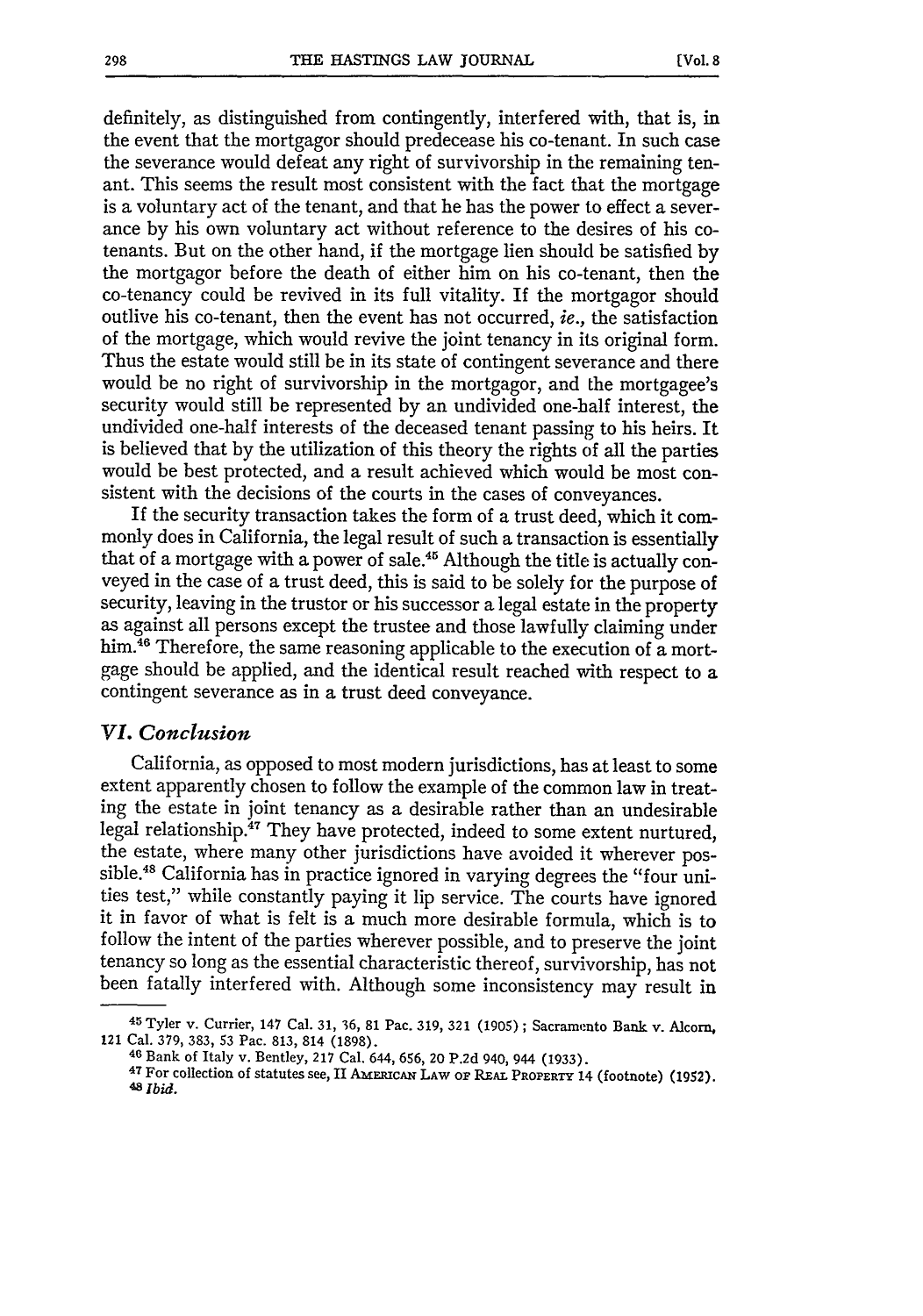definitely, as distinguished from contingently, interfered with, that is, in the event that the mortgagor should predecease his co-tenant. In such case the severance would defeat any right of survivorship in the remaining tenant. This seems the result most consistent with the fact that the mortgage is a voluntary act of the tenant, and that he has the power to effect a severance by his own voluntary act without reference to the desires of his cotenants. But on the other hand, if the mortgage lien should be satisfied by the mortgagor before the death of either him on his co-tenant, then the co-tenancy could be revived in its full vitality. If the mortgagor should outlive his co-tenant, then the event has not occurred, ie., the satisfaction of the mortgage, which would revive the joint tenancy in its original form. Thus the estate would still be in its state of contingent severance and there would be no right of survivorship in the mortgagor, and the mortgagee's security would still be represented by an undivided one-half interest, the undivided one-half interests of the deceased tenant passing to his heirs. It is believed that by the utilization of this theory the rights of all the parties would be best protected, and a result achieved which would be most consistent with the decisions of the courts in the cases of conveyances.

If the security transaction takes the form of a trust deed, which it commonly does in California, the legal result of such a transaction is essentially that of a mortgage with a power of sale.<sup>45</sup> Although the title is actually conveyed in the case of a trust deed, this is said to be solely for the purpose of security, leaving in the trustor or his successor a legal estate in the property as against all persons except the trustee and those lawfully claiming under him.<sup>46</sup> Therefore, the same reasoning applicable to the execution of a mortgage should be applied, and the identical result reached with respect to a contingent severance as in a trust deed conveyance.

#### *VI. Conclusion*

California, as opposed to most modern jurisdictions, has at least to some extent apparently chosen to follow the example of the common law in treating the estate in joint tenancy as a desirable rather than an undesirable legal relationship.<sup>47</sup> They have protected, indeed to some extent nurtured, the estate, where many other jurisdictions have avoided it wherever possible.<sup>48</sup> California has in practice ignored in varying degrees the "four unities test," while constantly paying it lip service. The courts have ignored it in favor of what is felt is a much more desirable formula, which is to follow the intent of the parties wherever possible, and to preserve the joint tenancy so long as the essential characteristic thereof, survivorship, has not been fatally interfered with. Although some inconsistency may result in

**<sup>45</sup>**Tyler v. Currier, 147 Cal. **31, 36, 81** Pac. **319, 321 (1905) ;** Sacramento Bank v. **Alcorn,** 121 Cal. **379, 383, 53** Pac. **813,** 814 **(1898). <sup>46</sup>**Bank of Italy v. Bentley, **217** Cal. 644, **656,** 20 **P.2d** 940, 944 **(1933).**

**<sup>47</sup>**For collection **of** statutes see, II **AERICAN LAW O. REAL** PROPERTY **14** (footnote) (1952). **48** *Ibid.*